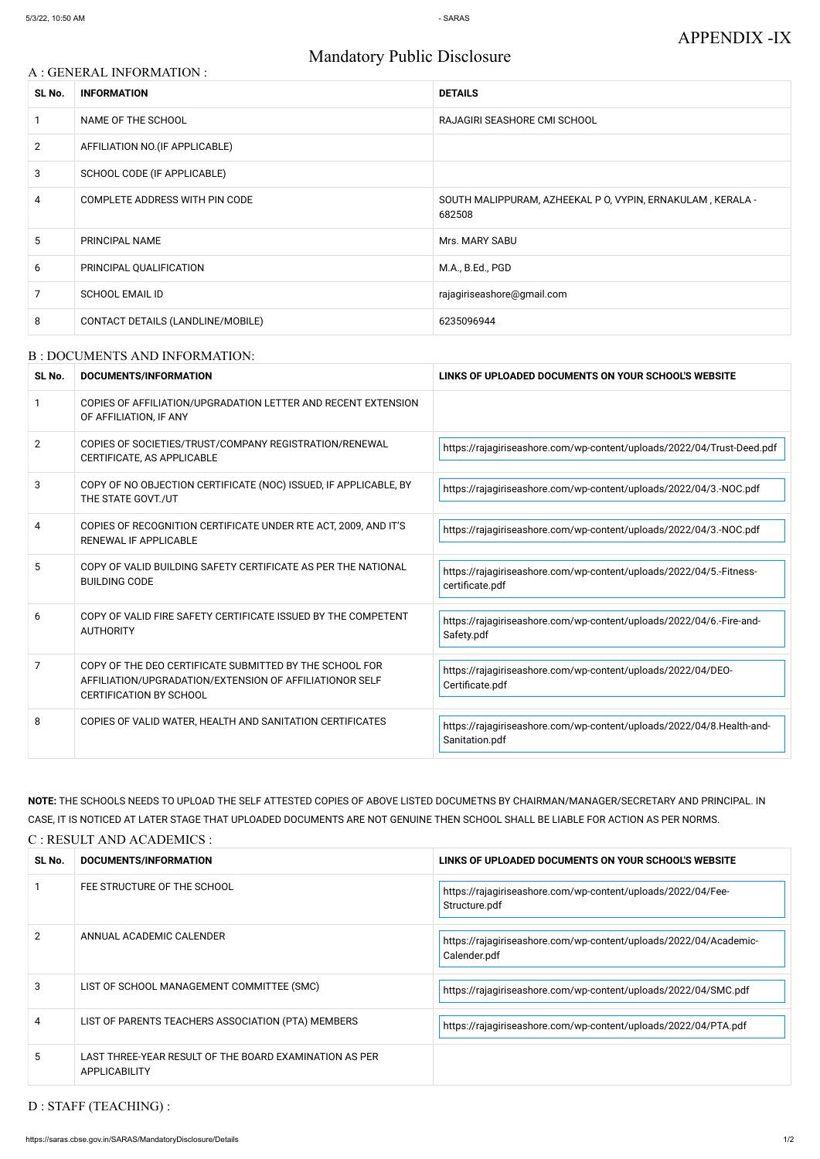# Mandatory Public Disclosure

#### A : GENERAL INFORMATION :

| SL No.         | <b>INFORMATION</b>                | <b>DETAILS</b>                                                       |
|----------------|-----------------------------------|----------------------------------------------------------------------|
|                | NAME OF THE SCHOOL                | RAJAGIRI SEASHORE CMI SCHOOL                                         |
| $\overline{2}$ | AFFILIATION NO. (IF APPLICABLE)   |                                                                      |
| 3              | SCHOOL CODE (IF APPLICABLE)       |                                                                      |
| 4              | COMPLETE ADDRESS WITH PIN CODE    | SOUTH MALIPPURAM, AZHEEKAL P O, VYPIN, ERNAKULAM, KERALA -<br>682508 |
| 5              | PRINCIPAL NAME                    | Mrs. MARY SABU                                                       |
| 6              | PRINCIPAL QUALIFICATION           | M.A., B.Ed., PGD                                                     |
| 7              | <b>SCHOOL EMAIL ID</b>            | rajagiriseashore@gmail.com                                           |
| 8              | CONTACT DETAILS (LANDLINE/MOBILE) | 6235096944                                                           |

#### B : DOCUMENTS AND INFORMATION:

| SL No.         | DOCUMENTS/INFORMATION                                                                                                                                | LINKS OF UPLOADED DOCUMENTS ON YOUR SCHOOL'S WEBSITE                                    |
|----------------|------------------------------------------------------------------------------------------------------------------------------------------------------|-----------------------------------------------------------------------------------------|
|                | COPIES OF AFFILIATION/UPGRADATION LETTER AND RECENT EXTENSION<br>OF AFFILIATION, IF ANY                                                              |                                                                                         |
| $\overline{2}$ | COPIES OF SOCIETIES/TRUST/COMPANY REGISTRATION/RENEWAL<br>CERTIFICATE, AS APPLICABLE                                                                 | https://rajagiriseashore.com/wp-content/uploads/2022/04/Trust-Deed.pdf                  |
| 3              | COPY OF NO OBJECTION CERTIFICATE (NOC) ISSUED, IF APPLICABLE, BY<br>THE STATE GOVT./UT                                                               | https://rajagiriseashore.com/wp-content/uploads/2022/04/3.-NOC.pdf                      |
| 4              | COPIES OF RECOGNITION CERTIFICATE UNDER RTE ACT, 2009, AND IT'S<br><b>RENEWAL IF APPLICABLE</b>                                                      | https://rajagiriseashore.com/wp-content/uploads/2022/04/3.-NOC.pdf                      |
| 5              | COPY OF VALID BUILDING SAFETY CERTIFICATE AS PER THE NATIONAL<br><b>BUILDING CODE</b>                                                                | https://rajagiriseashore.com/wp-content/uploads/2022/04/5.-Fitness-<br>certificate.pdf  |
| 6              | COPY OF VALID FIRE SAFETY CERTIFICATE ISSUED BY THE COMPETENT<br><b>AUTHORITY</b>                                                                    | https://rajagiriseashore.com/wp-content/uploads/2022/04/6.-Fire-and-<br>Safety.pdf      |
| 7              | COPY OF THE DEO CERTIFICATE SUBMITTED BY THE SCHOOL FOR<br>AFFILIATION/UPGRADATION/EXTENSION OF AFFILIATIONOR SELF<br><b>CERTIFICATION BY SCHOOL</b> | https://rajagiriseashore.com/wp-content/uploads/2022/04/DEO-<br>Certificate.pdf         |
| 8              | COPIES OF VALID WATER, HEALTH AND SANITATION CERTIFICATES                                                                                            | https://rajagiriseashore.com/wp-content/uploads/2022/04/8.Health-and-<br>Sanitation.pdf |

|               | FEE STRUCTURE OF THE SCHOOL                                             | https://rajagiriseashore.com/wp-content/uploads/2022/04/Fee-<br>Structure.pdf     |
|---------------|-------------------------------------------------------------------------|-----------------------------------------------------------------------------------|
| $\mathcal{P}$ | ANNUAL ACADEMIC CALENDER                                                | https://rajagiriseashore.com/wp-content/uploads/2022/04/Academic-<br>Calender.pdf |
| 3             | LIST OF SCHOOL MANAGEMENT COMMITTEE (SMC)                               | https://rajagiriseashore.com/wp-content/uploads/2022/04/SMC.pdf                   |
| 4             | LIST OF PARENTS TEACHERS ASSOCIATION (PTA) MEMBERS                      | https://rajagiriseashore.com/wp-content/uploads/2022/04/PTA.pdf                   |
| 5.            | LAST THREE-YEAR RESULT OF THE BOARD EXAMINATION AS PER<br>APPLICABILITY |                                                                                   |

**NOTE:** THE SCHOOLS NEEDS TO UPLOAD THE SELF ATTESTED COPIES OF ABOVE LISTED DOCUMETNS BY CHAIRMAN/MANAGER/SECRETARY AND PRINCIPAL. IN CASE, IT IS NOTICED AT LATER STAGE THAT UPLOADED DOCUMENTS ARE NOT GENUINE THEN SCHOOL SHALL BE LIABLE FOR ACTION AS PER NORMS.

C : RESULT AND ACADEMICS :

## D : STAFF (TEACHING) :